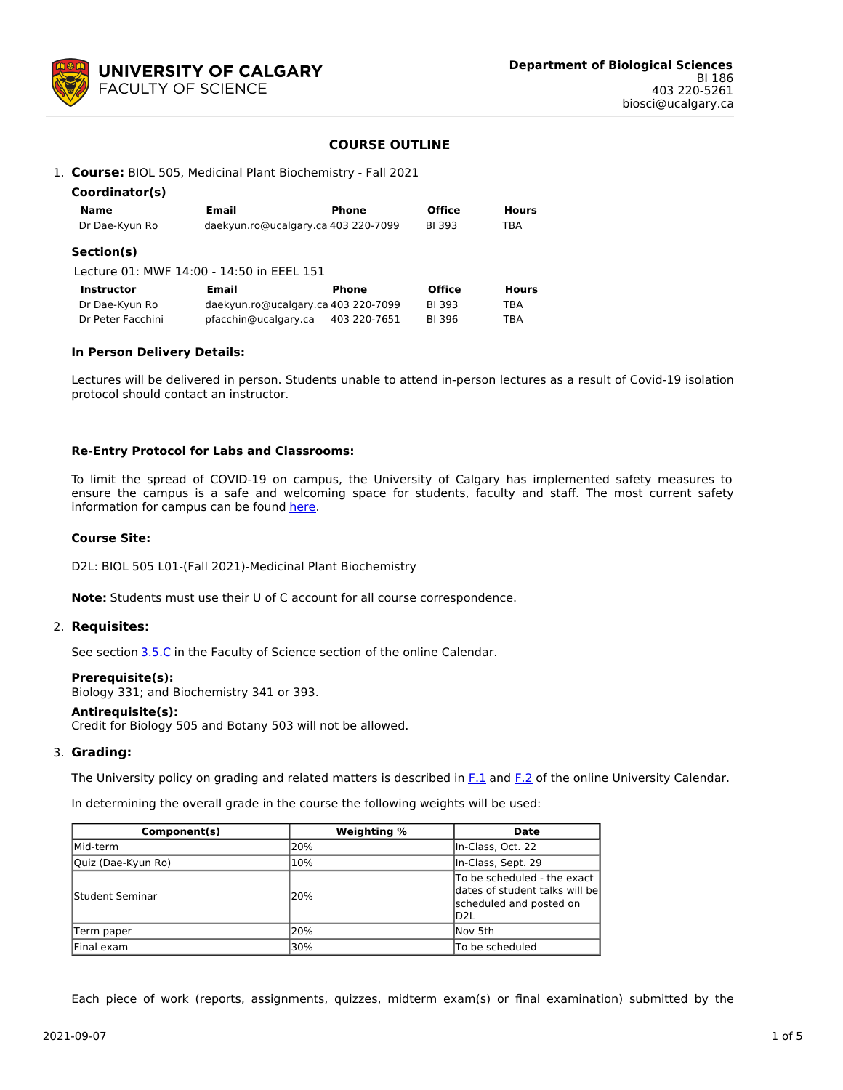

## **COURSE OUTLINE**

1. **Course:** BIOL 505, Medicinal Plant Biochemistry - Fall 2021

| Coordinator(s)    |                                           |              |               |              |
|-------------------|-------------------------------------------|--------------|---------------|--------------|
| Name              | Email                                     | Phone        | <b>Office</b> | <b>Hours</b> |
| Dr Dae-Kyun Ro    | daekyun.ro@ucalgary.ca 403 220-7099       |              | <b>BI 393</b> | TBA          |
| Section(s)        |                                           |              |               |              |
|                   | Lecture 01: MWF 14:00 - 14:50 in EEEL 151 |              |               |              |
| <b>Instructor</b> | Email                                     | <b>Phone</b> | <b>Office</b> | <b>Hours</b> |
| Dr Dae-Kyun Ro    | daekyun.ro@ucalgary.ca 403 220-7099       |              | <b>BI393</b>  | TBA          |
| Dr Peter Facchini | pfacchin@ucalgary.ca                      | 403 220-7651 | BI 396        | TBA          |

#### **In Person Delivery Details:**

Lectures will be delivered in person. Students unable to attend in-person lectures as a result of Covid-19 isolation protocol should contact an instructor.

#### **Re-Entry Protocol for Labs and Classrooms:**

To limit the spread of COVID-19 on campus, the University of Calgary has implemented safety measures to ensure the campus is a safe and welcoming space for students, faculty and staff. The most current safety information for campus can be found [here](https://www.ucalgary.ca/risk/emergency-management/covid-19-response/return-campus-safety).

## **Course Site:**

D2L: BIOL 505 L01-(Fall 2021)-Medicinal Plant Biochemistry

**Note:** Students must use their U of C account for all course correspondence.

#### 2. **Requisites:**

See section [3.5.C](http://www.ucalgary.ca/pubs/calendar/current/sc-3-5.html) in the Faculty of Science section of the online Calendar.

#### **Prerequisite(s):**

Biology 331; and Biochemistry 341 or 393.

#### **Antirequisite(s):**

Credit for Biology 505 and Botany 503 will not be allowed.

## 3. **Grading:**

The University policy on grading and related matters is described in [F.1](http://www.ucalgary.ca/pubs/calendar/current/f-1.html) and [F.2](http://www.ucalgary.ca/pubs/calendar/current/f-2.html) of the online University Calendar.

In determining the overall grade in the course the following weights will be used:

| Component(s)            | Weighting % | <b>Date</b>                                                                                      |
|-------------------------|-------------|--------------------------------------------------------------------------------------------------|
| Mid-term                | l20%        | In-Class, Oct. 22                                                                                |
| Quiz (Dae-Kyun Ro)      | 10%         | In-Class, Sept. 29                                                                               |
| <b>IStudent Seminar</b> | l20%        | To be scheduled - the exact<br>dates of student talks will be<br>scheduled and posted on<br>ID2L |
| Term paper              | 20%         | lNov 5th                                                                                         |
| Final exam              | 30%         | ITo be scheduled                                                                                 |

Each piece of work (reports, assignments, quizzes, midterm exam(s) or final examination) submitted by the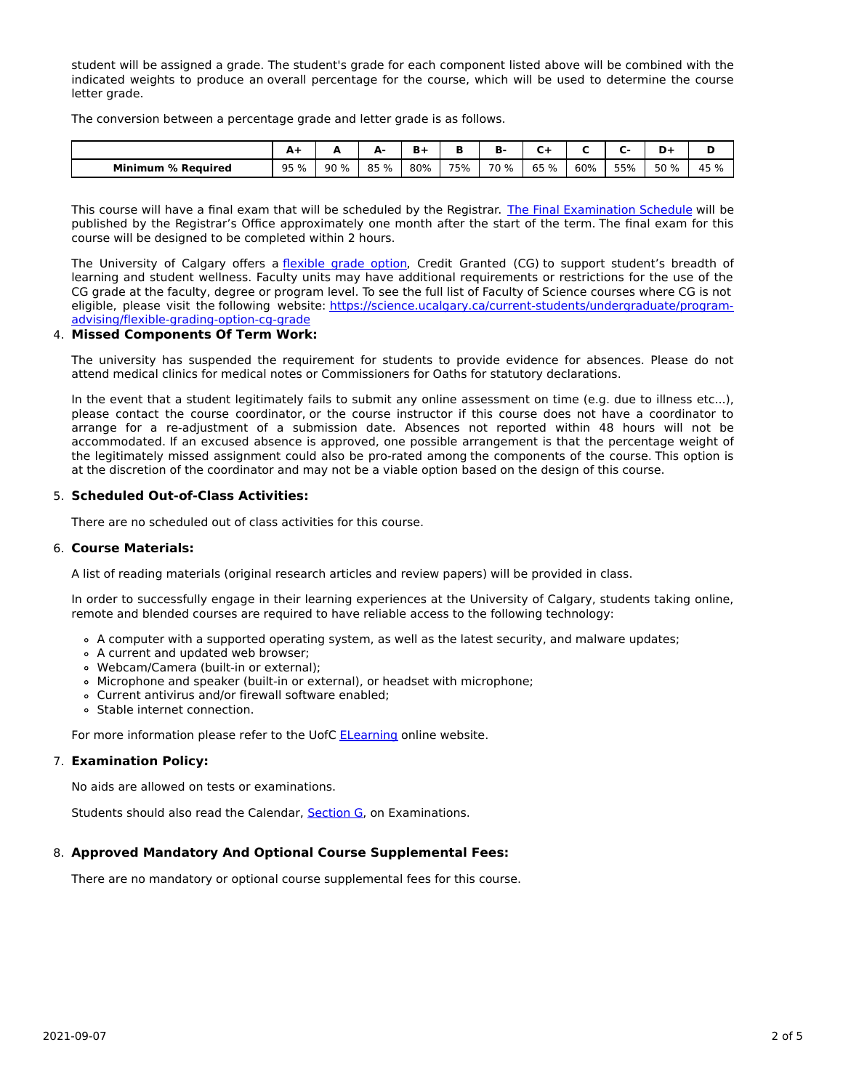student will be assigned a grade. The student's grade for each component listed above will be combined with the indicated weights to produce an overall percentage for the course, which will be used to determine the course letter grade.

The conversion between a percentage grade and letter grade is as follows.

|                           | $A+$ | -   | А-   | Ð   | ш   | в<br>B. | ∽    |     |     |      |      |
|---------------------------|------|-----|------|-----|-----|---------|------|-----|-----|------|------|
| <b>Minimum % Required</b> | 95 % | 90% | 85 % | 80% | 75% | 70 %    | 65 % | 60% | 55% | 50 % | 45 % |

This course will have a final exam that will be scheduled by the Registrar. The Final [Examination](https://www.ucalgary.ca/registrar/exams) Schedule will be published by the Registrar's Office approximately one month after the start of the term. The final exam for this course will be designed to be completed within 2 hours.

The University of Calgary offers a [flexible](https://www.ucalgary.ca/pubs/calendar/current/f-1-3.html) grade option, Credit Granted (CG) to support student's breadth of learning and student wellness. Faculty units may have additional requirements or restrictions for the use of the CG grade at the faculty, degree or program level. To see the full list of Faculty of Science courses where CG is not eligible, please visit the following website: [https://science.ucalgary.ca/current-students/undergraduate/program](https://science.ucalgary.ca/current-students/undergraduate/program-advising/flexible-grading-option-cg-grade)advising/flexible-grading-option-cg-grade

#### 4. **Missed Components Of Term Work:**

The university has suspended the requirement for students to provide evidence for absences. Please do not attend medical clinics for medical notes or Commissioners for Oaths for statutory declarations.

In the event that a student legitimately fails to submit any online assessment on time (e.g. due to illness etc...), please contact the course coordinator, or the course instructor if this course does not have a coordinator to arrange for a re-adjustment of a submission date. Absences not reported within 48 hours will not be accommodated. If an excused absence is approved, one possible arrangement is that the percentage weight of the legitimately missed assignment could also be pro-rated among the components of the course. This option is at the discretion of the coordinator and may not be a viable option based on the design of this course.

## 5. **Scheduled Out-of-Class Activities:**

There are no scheduled out of class activities for this course.

## 6. **Course Materials:**

A list of reading materials (original research articles and review papers) will be provided in class.

In order to successfully engage in their learning experiences at the University of Calgary, students taking online, remote and blended courses are required to have reliable access to the following technology:

- A computer with a supported operating system, as well as the latest security, and malware updates;
- A current and updated web browser;
- Webcam/Camera (built-in or external);
- Microphone and speaker (built-in or external), or headset with microphone;
- Current antivirus and/or firewall software enabled;
- Stable internet connection.

For more information please refer to the UofC **[ELearning](https://elearn.ucalgary.ca/technology-requirements-for-students)** online website.

## 7. **Examination Policy:**

No aids are allowed on tests or examinations.

Students should also read the Calendar, [Section](http://www.ucalgary.ca/pubs/calendar/current/g.html) G, on Examinations.

## 8. **Approved Mandatory And Optional Course Supplemental Fees:**

There are no mandatory or optional course supplemental fees for this course.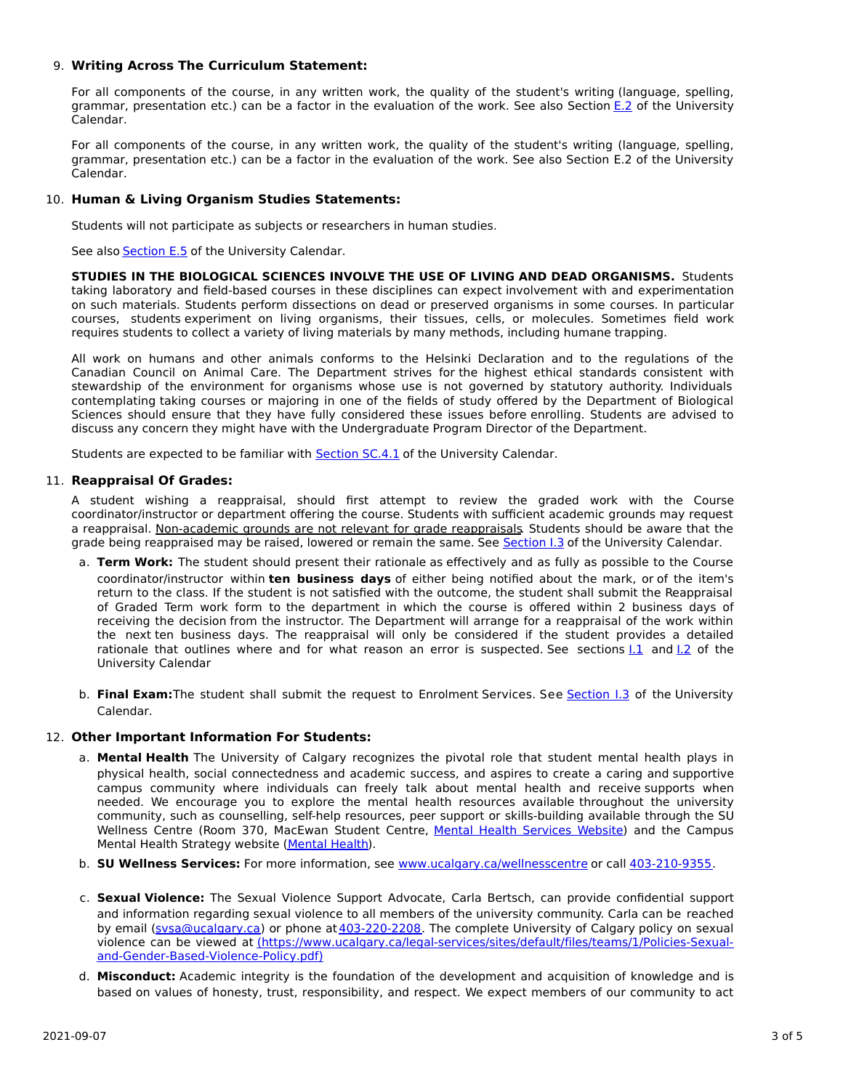## 9. **Writing Across The Curriculum Statement:**

For all components of the course, in any written work, the quality of the student's writing (language, spelling, grammar, presentation etc.) can be a factor in the evaluation of the work. See also Section [E.2](http://www.ucalgary.ca/pubs/calendar/current/e-2.html) of the University Calendar.

For all components of the course, in any written work, the quality of the student's writing (language, spelling, grammar, presentation etc.) can be a factor in the evaluation of the work. See also Section E.2 of the University Calendar.

# 10. **Human & Living Organism Studies Statements:**

Students will not participate as subjects or researchers in human studies.

See also [Section](http://www.ucalgary.ca/pubs/calendar/current/e-5.html) E.5 of the University Calendar.

**STUDIES IN THE BIOLOGICAL SCIENCES INVOLVE THE USE OF LIVING AND DEAD ORGANISMS.** Students taking laboratory and field-based courses in these disciplines can expect involvement with and experimentation on such materials. Students perform dissections on dead or preserved organisms in some courses. In particular courses, students experiment on living organisms, their tissues, cells, or molecules. Sometimes field work requires students to collect a variety of living materials by many methods, including humane trapping.

All work on humans and other animals conforms to the Helsinki Declaration and to the regulations of the Canadian Council on Animal Care. The Department strives for the highest ethical standards consistent with stewardship of the environment for organisms whose use is not governed by statutory authority. Individuals contemplating taking courses or majoring in one of the fields of study offered by the Department of Biological Sciences should ensure that they have fully considered these issues before enrolling. Students are advised to discuss any concern they might have with the Undergraduate Program Director of the Department.

Students are expected to be familiar with [Section](http://www.ucalgary.ca/pubs/calendar/current/sc-4-1.html) SC.4.1 of the University Calendar.

# 11. **Reappraisal Of Grades:**

A student wishing a reappraisal, should first attempt to review the graded work with the Course coordinator/instructor or department offering the course. Students with sufficient academic grounds may request a reappraisal. Non-academic grounds are not relevant for grade reappraisals. Students should be aware that the grade being reappraised may be raised, lowered or remain the same. See [Section](http://www.ucalgary.ca/pubs/calendar/current/i-3.html) I.3 of the University Calendar.

- a. **Term Work:** The student should present their rationale as effectively and as fully as possible to the Course coordinator/instructor within **ten business days** of either being notified about the mark, or of the item's return to the class. If the student is not satisfied with the outcome, the student shall submit the Reappraisal of Graded Term work form to the department in which the course is offered within 2 business days of receiving the decision from the instructor. The Department will arrange for a reappraisal of the work within the next ten business days. The reappraisal will only be considered if the student provides a detailed rationale that outlines where and for what reason an error is suspected. See sections 1.1 and 1.2 of the University Calendar
- b. **Final Exam:**The student shall submit the request to Enrolment Services. See [Section](http://www.ucalgary.ca/pubs/calendar/current/i-3.html) I.3 of the University Calendar.

## 12. **Other Important Information For Students:**

- a. **Mental Health** The University of Calgary recognizes the pivotal role that student mental health plays in physical health, social connectedness and academic success, and aspires to create a caring and supportive campus community where individuals can freely talk about mental health and receive supports when needed. We encourage you to explore the mental health resources available throughout the university community, such as counselling, self-help resources, peer support or skills-building available through the SU Wellness Centre (Room 370, MacEwan Student Centre, Mental Health [Services](https://www.ucalgary.ca/wellnesscentre/services/mental-health-services) Website) and the Campus Mental Health Strategy website [\(Mental](http://www.ucalgary.ca/mentalhealth) Health).
- b. **SU Wellness Services:** For more information, see [www.ucalgary.ca/wellnesscentre](http://www.ucalgary.ca/wellnesscentre) or call [403-210-9355.](tel:4032109355)
- c. **Sexual Violence:** The Sexual Violence Support Advocate, Carla Bertsch, can provide confidential support and information regarding sexual violence to all members of the university community. Carla can be reached by email [\(svsa@ucalgary.ca](mailto:svsa@ucalgary.ca)) or phone at [403-220-2208](tel:4032202208). The complete University of Calgary policy on sexual violence can be viewed at [\(https://www.ucalgary.ca/legal-services/sites/default/files/teams/1/Policies-Sexual](https://www.ucalgary.ca/legal-services/sites/default/files/teams/1/Policies-Sexual-and-Gender-Based-Violence-Policy.pdf)and-Gender-Based-Violence-Policy.pdf)
- d. **Misconduct:** Academic integrity is the foundation of the development and acquisition of knowledge and is based on values of honesty, trust, responsibility, and respect. We expect members of our community to act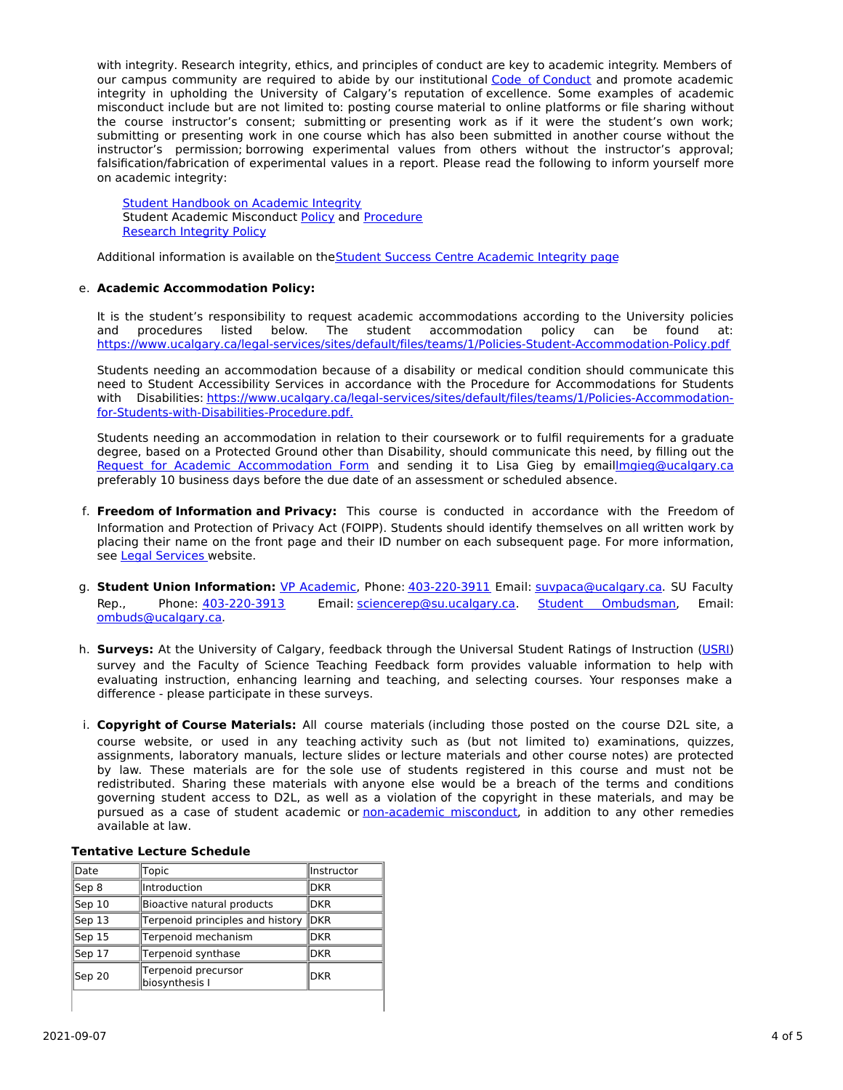with integrity. Research integrity, ethics, and principles of conduct are key to academic integrity. Members of our campus community are required to abide by our institutional Code of [Conduct](https://www.ucalgary.ca/legal-services/sites/default/files/teams/1/Policies-Code-of-Conduct.pdf) and promote academic integrity in upholding the University of Calgary's reputation of excellence. Some examples of academic misconduct include but are not limited to: posting course material to online platforms or file sharing without the course instructor's consent; submitting or presenting work as if it were the student's own work; submitting or presenting work in one course which has also been submitted in another course without the instructor's permission; borrowing experimental values from others without the instructor's approval; falsification/fabrication of experimental values in a report. Please read the following to inform yourself more on academic integrity:

Student [Handbook](https://www.ucalgary.ca/live-uc-ucalgary-site/sites/default/files/teams/9/AI-Student-handbook-1.pdf) on Academic Integrity Student Academic Misconduct [Policy](https://www.ucalgary.ca/legal-services/sites/default/files/teams/1/Policies-Student-Academic-Misconduct-Policy.pdf) and [Procedure](https://www.ucalgary.ca/legal-services/sites/default/files/teams/1/Policies-Student-Academic-Misconduct-Procedure.pdf) [Research](https://www.ucalgary.ca/legal-services/sites/default/files/teams/1/Policies-Research-Integrity-Policy.pdf) Integrity Policy

Additional information is available on the Student Success Centre [Academic](https://ucalgary.ca/student-services/student-success/learning/academic-integrity) Integrity page

## e. **Academic Accommodation Policy:**

It is the student's responsibility to request academic accommodations according to the University policies and procedures listed below. The student accommodation policy can be found at: <https://www.ucalgary.ca/legal-services/sites/default/files/teams/1/Policies-Student-Accommodation-Policy.pdf>

Students needing an accommodation because of a disability or medical condition should communicate this need to Student Accessibility Services in accordance with the Procedure for Accommodations for Students with Disabilities: [https://www.ucalgary.ca/legal-services/sites/default/files/teams/1/Policies-Accommodation](https://www.ucalgary.ca/legal-services/sites/default/files/teams/1/Policies-Accommodation-for-Students-with-Disabilities-Procedure.pdf)for-Students-with-Disabilities-Procedure.pdf.

Students needing an accommodation in relation to their coursework or to fulfil requirements for a graduate degree, based on a Protected Ground other than Disability, should communicate this need, by filling out the Request for Academic [Accommodation](https://science.ucalgary.ca/sites/default/files/teams/1/request-accommodation-academic-courses.pdf) Form and sending it to Lisa Gieg by emai[llmgieg@ucalgary.ca](mailto:lmgieg@ucalgary.ca) preferably 10 business days before the due date of an assessment or scheduled absence.

- f. **Freedom of Information and Privacy:** This course is conducted in accordance with the Freedom of Information and Protection of Privacy Act (FOIPP). Students should identify themselves on all written work by placing their name on the front page and their ID number on each subsequent page. For more information, see Legal [Services](https://www.ucalgary.ca/legal-services/access-information-privacy) website.
- g. **Student Union Information:** VP [Academic](http://www.su.ucalgary.ca/contact), Phone: [403-220-3911](tel:4032203911) Email: [suvpaca@ucalgary.ca](mailto:suvpaca@ucalgary.ca). SU Faculty Rep., Phone: [403-220-3913](tel:4032203913) Email: [sciencerep@su.ucalgary.ca](mailto:sciencerep@su.ucalgary.ca). Student [Ombudsman](https://www.ucalgary.ca/ombuds/), Email: [ombuds@ucalgary.ca](mailto:%20ombuds@ucalgary.ca).
- h. **Surveys:** At the University of Calgary, feedback through the Universal Student Ratings of Instruction [\(USRI](http://www.ucalgary.ca/usri)) survey and the Faculty of Science Teaching Feedback form provides valuable information to help with evaluating instruction, enhancing learning and teaching, and selecting courses. Your responses make a difference - please participate in these surveys.
- i. **Copyright of Course Materials:** All course materials (including those posted on the course D2L site, a course website, or used in any teaching activity such as (but not limited to) examinations, quizzes, assignments, laboratory manuals, lecture slides or lecture materials and other course notes) are protected by law. These materials are for the sole use of students registered in this course and must not be redistributed. Sharing these materials with anyone else would be a breach of the terms and conditions governing student access to D2L, as well as a violation of the copyright in these materials, and may be pursued as a case of student academic or [non-academic](https://www.ucalgary.ca/conduct/policy/non-academic-misconduct-policy) misconduct, in addition to any other remedies available at law.

| Date   | Topic                                 | Instructor  |  |
|--------|---------------------------------------|-------------|--|
| Sep 8  | lIntroduction                         | <b>DKR</b>  |  |
| Sep 10 | Bioactive natural products            | <b>DKR</b>  |  |
| Sep 13 | Terpenoid principles and history      | <b>DKR</b>  |  |
| Sep 15 | Terpenoid mechanism                   | <b>DKR</b>  |  |
| Sep 17 | Terpenoid synthase                    | <b>DKR</b>  |  |
| Sep 20 | Terpenoid precursor<br>biosynthesis I | <b>IDKR</b> |  |

## **Tentative Lecture Schedule**